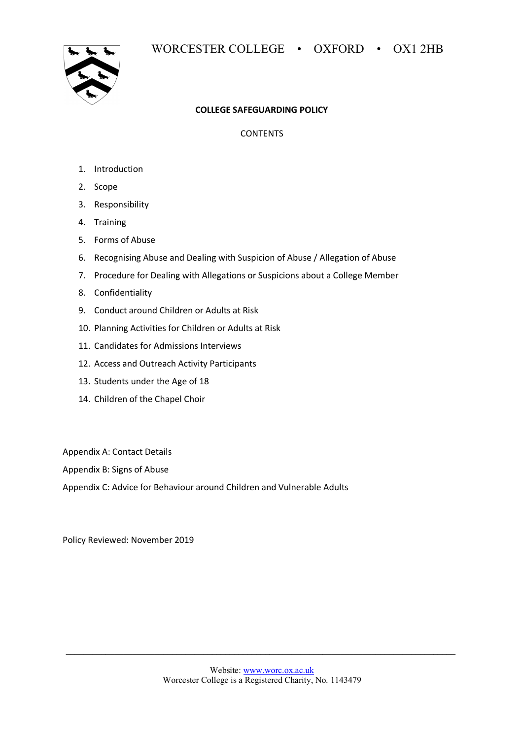

# **COLLEGE SAFEGUARDING POLICY**

**CONTENTS** 

- 1. Introduction
- 2. Scope
- 3. Responsibility
- 4. Training
- 5. Forms of Abuse
- 6. Recognising Abuse and Dealing with Suspicion of Abuse / Allegation of Abuse
- 7. Procedure for Dealing with Allegations or Suspicions about a College Member
- 8. Confidentiality
- 9. Conduct around Children or Adults at Risk
- 10. Planning Activities for Children or Adults at Risk
- 11. Candidates for Admissions Interviews
- 12. Access and Outreach Activity Participants
- 13. Students under the Age of 18
- 14. Children of the Chapel Choir

Appendix A: Contact Details

Appendix B: Signs of Abuse

Appendix C: Advice for Behaviour around Children and Vulnerable Adults

Policy Reviewed: November 2019

 $\mathcal{L}_\mathcal{L} = \{ \mathcal{L}_\mathcal{L} = \{ \mathcal{L}_\mathcal{L} = \{ \mathcal{L}_\mathcal{L} = \{ \mathcal{L}_\mathcal{L} = \{ \mathcal{L}_\mathcal{L} = \{ \mathcal{L}_\mathcal{L} = \{ \mathcal{L}_\mathcal{L} = \{ \mathcal{L}_\mathcal{L} = \{ \mathcal{L}_\mathcal{L} = \{ \mathcal{L}_\mathcal{L} = \{ \mathcal{L}_\mathcal{L} = \{ \mathcal{L}_\mathcal{L} = \{ \mathcal{L}_\mathcal{L} = \{ \mathcal{L}_\mathcal{$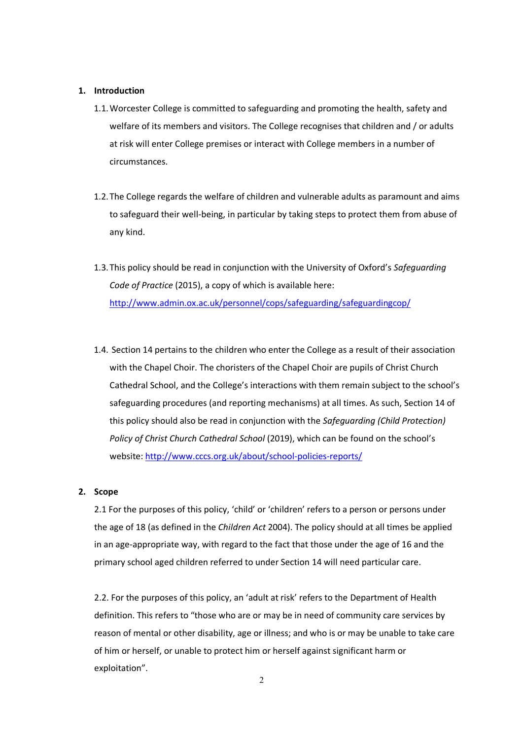### **1. Introduction**

- 1.1.Worcester College is committed to safeguarding and promoting the health, safety and welfare of its members and visitors. The College recognises that children and / or adults at risk will enter College premises or interact with College members in a number of circumstances.
- 1.2.The College regards the welfare of children and vulnerable adults as paramount and aims to safeguard their well-being, in particular by taking steps to protect them from abuse of any kind.
- 1.3.This policy should be read in conjunction with the University of Oxford's *Safeguarding Code of Practice* (2015), a copy of which is available here: http://www.admin.ox.ac.uk/personnel/cops/safeguarding/safeguardingcop/
- 1.4. Section 14 pertains to the children who enter the College as a result of their association with the Chapel Choir. The choristers of the Chapel Choir are pupils of Christ Church Cathedral School, and the College's interactions with them remain subject to the school's safeguarding procedures (and reporting mechanisms) at all times. As such, Section 14 of this policy should also be read in conjunction with the *Safeguarding (Child Protection) Policy of Christ Church Cathedral School* (2019), which can be found on the school's website: http://www.cccs.org.uk/about/school-policies-reports/

### **2. Scope**

2.1 For the purposes of this policy, 'child' or 'children' refers to a person or persons under the age of 18 (as defined in the *Children Act* 2004). The policy should at all times be applied in an age-appropriate way, with regard to the fact that those under the age of 16 and the primary school aged children referred to under Section 14 will need particular care.

2.2. For the purposes of this policy, an 'adult at risk' refers to the Department of Health definition. This refers to "those who are or may be in need of community care services by reason of mental or other disability, age or illness; and who is or may be unable to take care of him or herself, or unable to protect him or herself against significant harm or exploitation".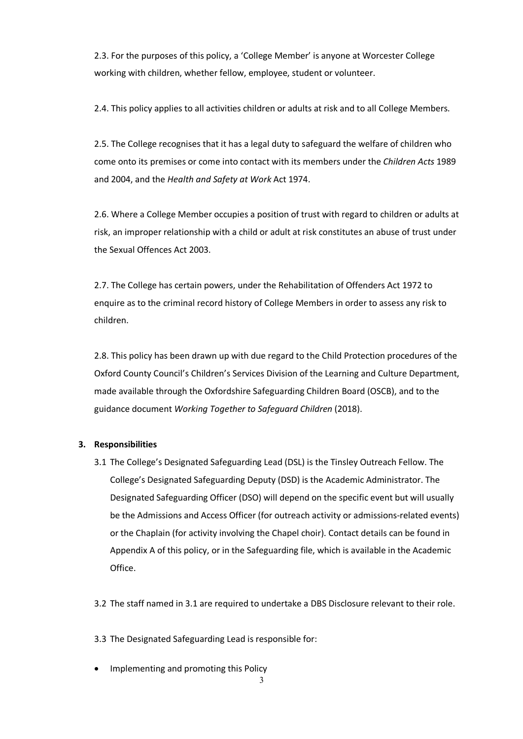2.3. For the purposes of this policy, a 'College Member' is anyone at Worcester College working with children, whether fellow, employee, student or volunteer.

2.4. This policy applies to all activities children or adults at risk and to all College Members.

2.5. The College recognises that it has a legal duty to safeguard the welfare of children who come onto its premises or come into contact with its members under the *Children Acts* 1989 and 2004, and the *Health and Safety at Work* Act 1974.

2.6. Where a College Member occupies a position of trust with regard to children or adults at risk, an improper relationship with a child or adult at risk constitutes an abuse of trust under the Sexual Offences Act 2003.

2.7. The College has certain powers, under the Rehabilitation of Offenders Act 1972 to enquire as to the criminal record history of College Members in order to assess any risk to children.

2.8. This policy has been drawn up with due regard to the Child Protection procedures of the Oxford County Council's Children's Services Division of the Learning and Culture Department, made available through the Oxfordshire Safeguarding Children Board (OSCB), and to the guidance document *Working Together to Safeguard Children* (2018).

### **3. Responsibilities**

3.1 The College's Designated Safeguarding Lead (DSL) is the Tinsley Outreach Fellow. The College's Designated Safeguarding Deputy (DSD) is the Academic Administrator. The Designated Safeguarding Officer (DSO) will depend on the specific event but will usually be the Admissions and Access Officer (for outreach activity or admissions-related events) or the Chaplain (for activity involving the Chapel choir). Contact details can be found in Appendix A of this policy, or in the Safeguarding file, which is available in the Academic Office.

3.2 The staff named in 3.1 are required to undertake a DBS Disclosure relevant to their role.

3.3 The Designated Safeguarding Lead is responsible for:

• Implementing and promoting this Policy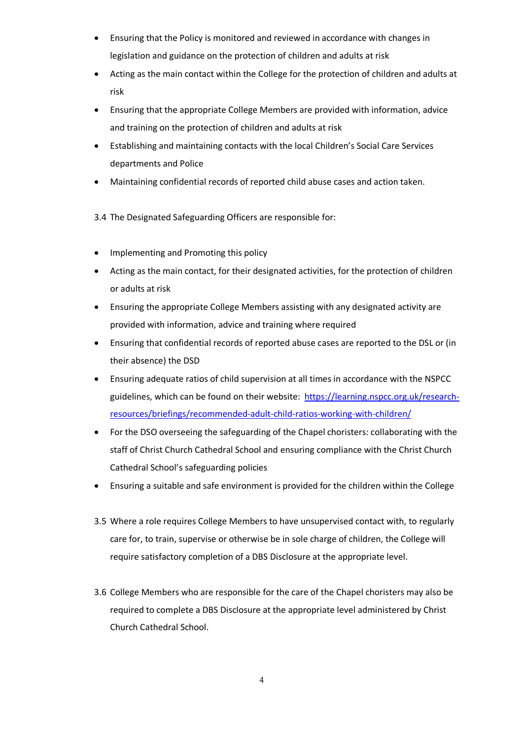- Ensuring that the Policy is monitored and reviewed in accordance with changes in legislation and guidance on the protection of children and adults at risk
- Acting as the main contact within the College for the protection of children and adults at risk
- Ensuring that the appropriate College Members are provided with information, advice and training on the protection of children and adults at risk
- Establishing and maintaining contacts with the local Children's Social Care Services departments and Police
- Maintaining confidential records of reported child abuse cases and action taken.

3.4 The Designated Safeguarding Officers are responsible for:

- Implementing and Promoting this policy
- Acting as the main contact, for their designated activities, for the protection of children or adults at risk
- Ensuring the appropriate College Members assisting with any designated activity are provided with information, advice and training where required
- Ensuring that confidential records of reported abuse cases are reported to the DSL or (in their absence) the DSD
- Ensuring adequate ratios of child supervision at all times in accordance with the NSPCC guidelines, which can be found on their website: https://learning.nspcc.org.uk/researchresources/briefings/recommended-adult-child-ratios-working-with-children/
- For the DSO overseeing the safeguarding of the Chapel choristers: collaborating with the staff of Christ Church Cathedral School and ensuring compliance with the Christ Church Cathedral School's safeguarding policies
- Ensuring a suitable and safe environment is provided for the children within the College
- 3.5 Where a role requires College Members to have unsupervised contact with, to regularly care for, to train, supervise or otherwise be in sole charge of children, the College will require satisfactory completion of a DBS Disclosure at the appropriate level.
- 3.6 College Members who are responsible for the care of the Chapel choristers may also be required to complete a DBS Disclosure at the appropriate level administered by Christ Church Cathedral School.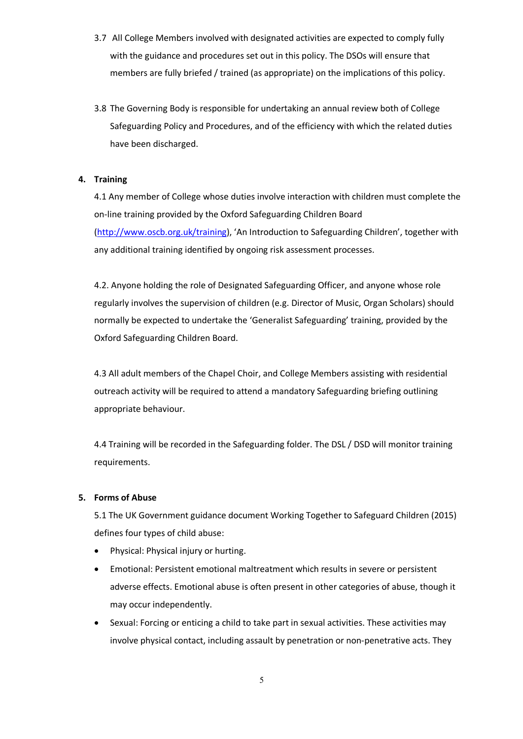- 3.7 All College Members involved with designated activities are expected to comply fully with the guidance and procedures set out in this policy. The DSOs will ensure that members are fully briefed / trained (as appropriate) on the implications of this policy.
- 3.8 The Governing Body is responsible for undertaking an annual review both of College Safeguarding Policy and Procedures, and of the efficiency with which the related duties have been discharged.

# **4. Training**

4.1 Any member of College whose duties involve interaction with children must complete the on-line training provided by the Oxford Safeguarding Children Board (http://www.oscb.org.uk/training), 'An Introduction to Safeguarding Children', together with any additional training identified by ongoing risk assessment processes.

4.2. Anyone holding the role of Designated Safeguarding Officer, and anyone whose role regularly involves the supervision of children (e.g. Director of Music, Organ Scholars) should normally be expected to undertake the 'Generalist Safeguarding' training, provided by the Oxford Safeguarding Children Board.

4.3 All adult members of the Chapel Choir, and College Members assisting with residential outreach activity will be required to attend a mandatory Safeguarding briefing outlining appropriate behaviour.

4.4 Training will be recorded in the Safeguarding folder. The DSL / DSD will monitor training requirements.

### **5. Forms of Abuse**

5.1 The UK Government guidance document Working Together to Safeguard Children (2015) defines four types of child abuse:

- Physical: Physical injury or hurting.
- Emotional: Persistent emotional maltreatment which results in severe or persistent adverse effects. Emotional abuse is often present in other categories of abuse, though it may occur independently.
- Sexual: Forcing or enticing a child to take part in sexual activities. These activities may involve physical contact, including assault by penetration or non-penetrative acts. They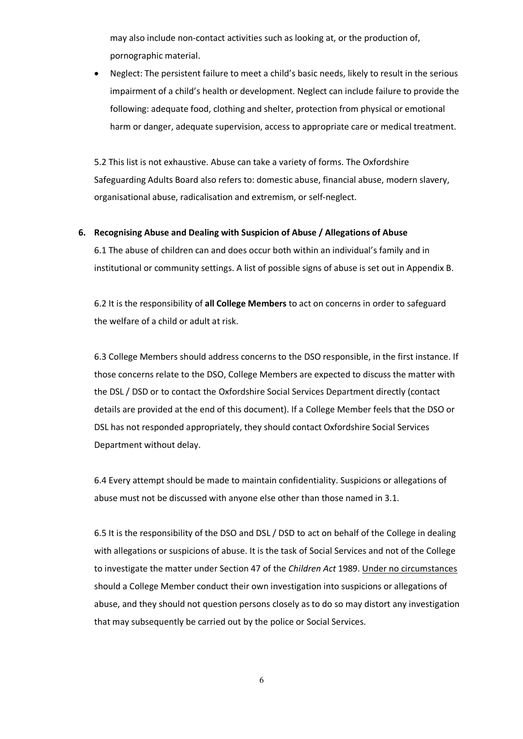may also include non-contact activities such as looking at, or the production of, pornographic material.

• Neglect: The persistent failure to meet a child's basic needs, likely to result in the serious impairment of a child's health or development. Neglect can include failure to provide the following: adequate food, clothing and shelter, protection from physical or emotional harm or danger, adequate supervision, access to appropriate care or medical treatment.

5.2 This list is not exhaustive. Abuse can take a variety of forms. The Oxfordshire Safeguarding Adults Board also refers to: domestic abuse, financial abuse, modern slavery, organisational abuse, radicalisation and extremism, or self-neglect.

### **6. Recognising Abuse and Dealing with Suspicion of Abuse / Allegations of Abuse**

6.1 The abuse of children can and does occur both within an individual's family and in institutional or community settings. A list of possible signs of abuse is set out in Appendix B.

6.2 It is the responsibility of **all College Members** to act on concerns in order to safeguard the welfare of a child or adult at risk.

6.3 College Members should address concerns to the DSO responsible, in the first instance. If those concerns relate to the DSO, College Members are expected to discuss the matter with the DSL / DSD or to contact the Oxfordshire Social Services Department directly (contact details are provided at the end of this document). If a College Member feels that the DSO or DSL has not responded appropriately, they should contact Oxfordshire Social Services Department without delay.

6.4 Every attempt should be made to maintain confidentiality. Suspicions or allegations of abuse must not be discussed with anyone else other than those named in 3.1.

6.5 It is the responsibility of the DSO and DSL / DSD to act on behalf of the College in dealing with allegations or suspicions of abuse. It is the task of Social Services and not of the College to investigate the matter under Section 47 of the *Children Act* 1989. Under no circumstances should a College Member conduct their own investigation into suspicions or allegations of abuse, and they should not question persons closely as to do so may distort any investigation that may subsequently be carried out by the police or Social Services.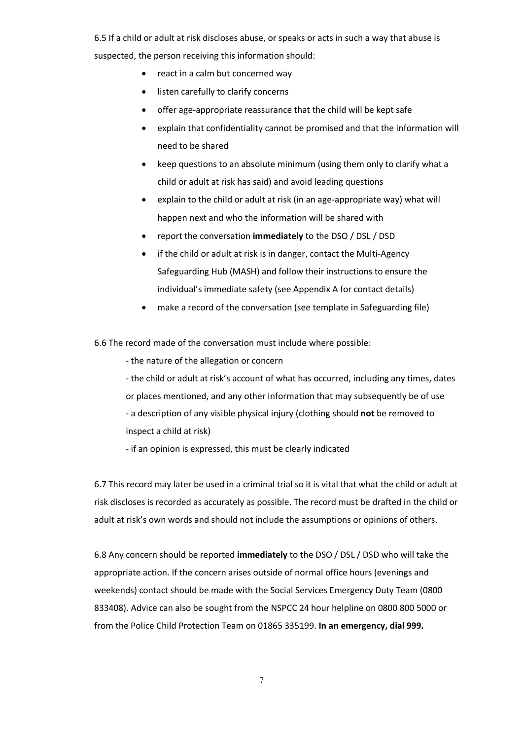6.5 If a child or adult at risk discloses abuse, or speaks or acts in such a way that abuse is suspected, the person receiving this information should:

- react in a calm but concerned way
- listen carefully to clarify concerns
- offer age-appropriate reassurance that the child will be kept safe
- explain that confidentiality cannot be promised and that the information will need to be shared
- keep questions to an absolute minimum (using them only to clarify what a child or adult at risk has said) and avoid leading questions
- explain to the child or adult at risk (in an age-appropriate way) what will happen next and who the information will be shared with
- report the conversation **immediately** to the DSO / DSL / DSD
- if the child or adult at risk is in danger, contact the Multi-Agency Safeguarding Hub (MASH) and follow their instructions to ensure the individual's immediate safety (see Appendix A for contact details)
- make a record of the conversation (see template in Safeguarding file)

6.6 The record made of the conversation must include where possible:

- the nature of the allegation or concern

- the child or adult at risk's account of what has occurred, including any times, dates or places mentioned, and any other information that may subsequently be of use - a description of any visible physical injury (clothing should **not** be removed to inspect a child at risk)

- if an opinion is expressed, this must be clearly indicated

6.7 This record may later be used in a criminal trial so it is vital that what the child or adult at risk discloses is recorded as accurately as possible. The record must be drafted in the child or adult at risk's own words and should not include the assumptions or opinions of others.

6.8 Any concern should be reported **immediately** to the DSO / DSL / DSD who will take the appropriate action. If the concern arises outside of normal office hours (evenings and weekends) contact should be made with the Social Services Emergency Duty Team (0800 833408). Advice can also be sought from the NSPCC 24 hour helpline on 0800 800 5000 or from the Police Child Protection Team on 01865 335199. **In an emergency, dial 999.**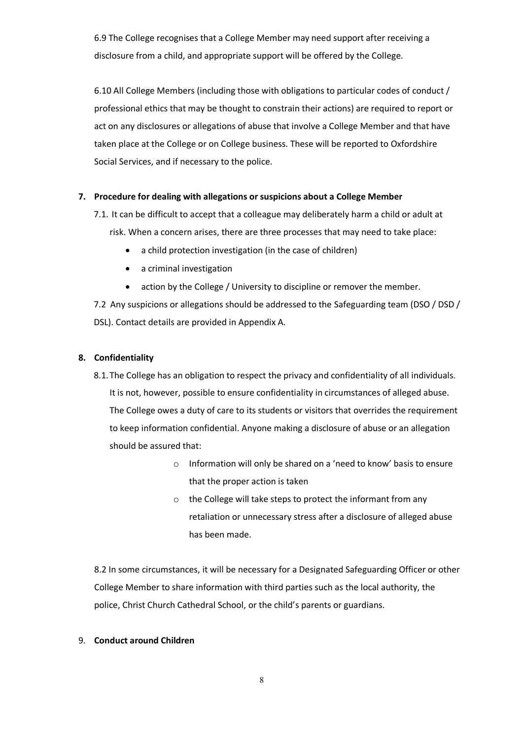6.9 The College recognises that a College Member may need support after receiving a disclosure from a child, and appropriate support will be offered by the College.

6.10 All College Members (including those with obligations to particular codes of conduct / professional ethics that may be thought to constrain their actions) are required to report or act on any disclosures or allegations of abuse that involve a College Member and that have taken place at the College or on College business. These will be reported to Oxfordshire Social Services, and if necessary to the police.

# **7. Procedure for dealing with allegations or suspicions about a College Member**

- 7.1. It can be difficult to accept that a colleague may deliberately harm a child or adult at risk. When a concern arises, there are three processes that may need to take place:
	- a child protection investigation (in the case of children)
	- a criminal investigation
	- action by the College / University to discipline or remover the member.

7.2 Any suspicions or allegations should be addressed to the Safeguarding team (DSO / DSD / DSL). Contact details are provided in Appendix A.

### **8. Confidentiality**

- 8.1.The College has an obligation to respect the privacy and confidentiality of all individuals. It is not, however, possible to ensure confidentiality in circumstances of alleged abuse. The College owes a duty of care to its students or visitors that overrides the requirement to keep information confidential. Anyone making a disclosure of abuse or an allegation should be assured that:
	- o Information will only be shared on a 'need to know' basis to ensure that the proper action is taken
	- o the College will take steps to protect the informant from any retaliation or unnecessary stress after a disclosure of alleged abuse has been made.

8.2 In some circumstances, it will be necessary for a Designated Safeguarding Officer or other College Member to share information with third parties such as the local authority, the police, Christ Church Cathedral School, or the child's parents or guardians.

### 9. **Conduct around Children**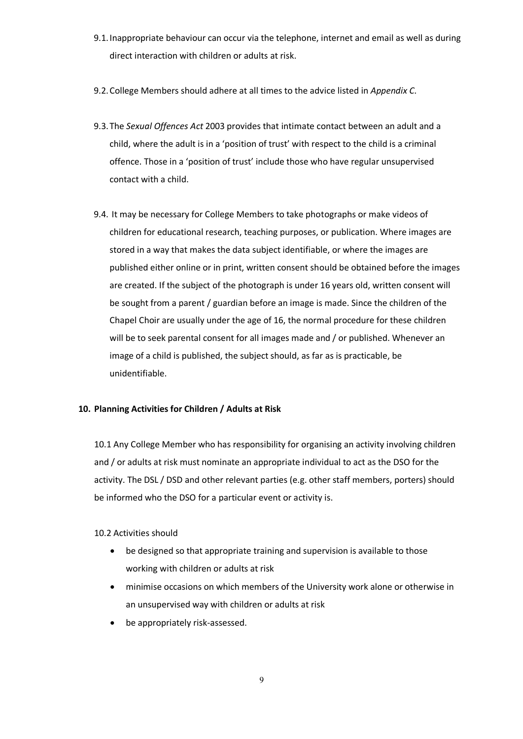- 9.1.Inappropriate behaviour can occur via the telephone, internet and email as well as during direct interaction with children or adults at risk.
- 9.2.College Members should adhere at all times to the advice listed in *Appendix C*.
- 9.3.The *Sexual Offences Act* 2003 provides that intimate contact between an adult and a child, where the adult is in a 'position of trust' with respect to the child is a criminal offence. Those in a 'position of trust' include those who have regular unsupervised contact with a child.
- 9.4. It may be necessary for College Members to take photographs or make videos of children for educational research, teaching purposes, or publication. Where images are stored in a way that makes the data subject identifiable, or where the images are published either online or in print, written consent should be obtained before the images are created. If the subject of the photograph is under 16 years old, written consent will be sought from a parent / guardian before an image is made. Since the children of the Chapel Choir are usually under the age of 16, the normal procedure for these children will be to seek parental consent for all images made and / or published. Whenever an image of a child is published, the subject should, as far as is practicable, be unidentifiable.

### **10. Planning Activities for Children / Adults at Risk**

10.1 Any College Member who has responsibility for organising an activity involving children and / or adults at risk must nominate an appropriate individual to act as the DSO for the activity. The DSL / DSD and other relevant parties (e.g. other staff members, porters) should be informed who the DSO for a particular event or activity is.

# 10.2 Activities should

- be designed so that appropriate training and supervision is available to those working with children or adults at risk
- minimise occasions on which members of the University work alone or otherwise in an unsupervised way with children or adults at risk
- be appropriately risk-assessed.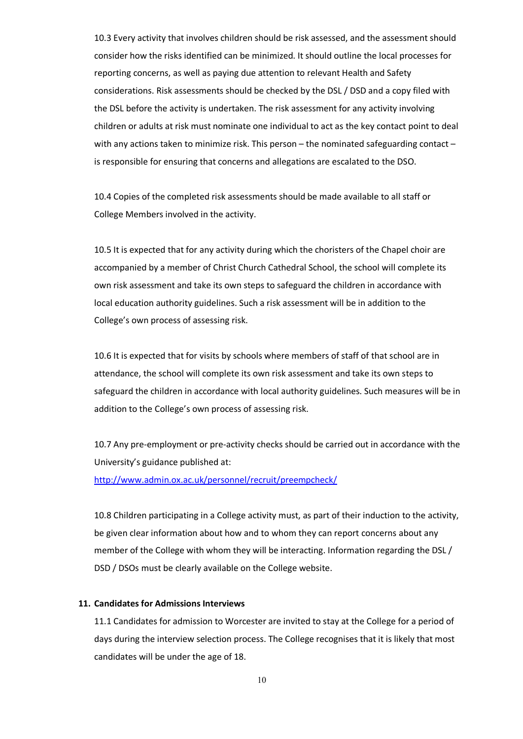10.3 Every activity that involves children should be risk assessed, and the assessment should consider how the risks identified can be minimized. It should outline the local processes for reporting concerns, as well as paying due attention to relevant Health and Safety considerations. Risk assessments should be checked by the DSL / DSD and a copy filed with the DSL before the activity is undertaken. The risk assessment for any activity involving children or adults at risk must nominate one individual to act as the key contact point to deal with any actions taken to minimize risk. This person – the nominated safeguarding contact – is responsible for ensuring that concerns and allegations are escalated to the DSO.

10.4 Copies of the completed risk assessments should be made available to all staff or College Members involved in the activity.

10.5 It is expected that for any activity during which the choristers of the Chapel choir are accompanied by a member of Christ Church Cathedral School, the school will complete its own risk assessment and take its own steps to safeguard the children in accordance with local education authority guidelines. Such a risk assessment will be in addition to the College's own process of assessing risk.

10.6 It is expected that for visits by schools where members of staff of that school are in attendance, the school will complete its own risk assessment and take its own steps to safeguard the children in accordance with local authority guidelines. Such measures will be in addition to the College's own process of assessing risk.

10.7 Any pre-employment or pre-activity checks should be carried out in accordance with the University's guidance published at: http://www.admin.ox.ac.uk/personnel/recruit/preempcheck/

10.8 Children participating in a College activity must, as part of their induction to the activity, be given clear information about how and to whom they can report concerns about any member of the College with whom they will be interacting. Information regarding the DSL / DSD / DSOs must be clearly available on the College website.

### **11. Candidates for Admissions Interviews**

11.1 Candidates for admission to Worcester are invited to stay at the College for a period of days during the interview selection process. The College recognises that it is likely that most candidates will be under the age of 18.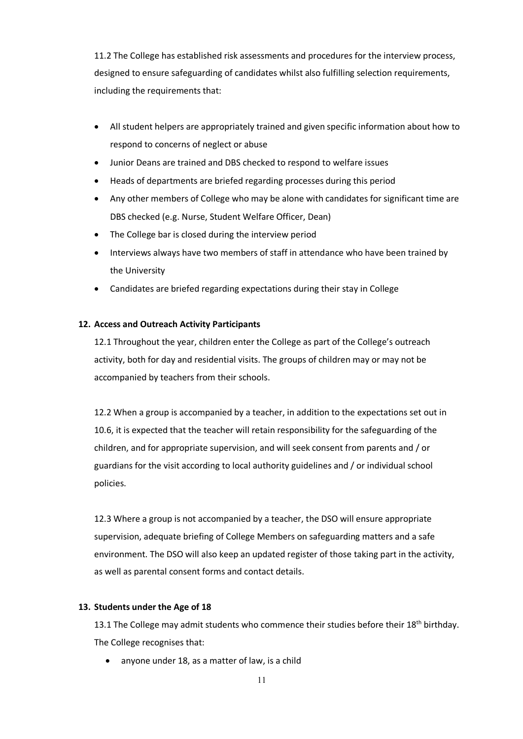11.2 The College has established risk assessments and procedures for the interview process, designed to ensure safeguarding of candidates whilst also fulfilling selection requirements, including the requirements that:

- All student helpers are appropriately trained and given specific information about how to respond to concerns of neglect or abuse
- Junior Deans are trained and DBS checked to respond to welfare issues
- Heads of departments are briefed regarding processes during this period
- Any other members of College who may be alone with candidates for significant time are DBS checked (e.g. Nurse, Student Welfare Officer, Dean)
- The College bar is closed during the interview period
- Interviews always have two members of staff in attendance who have been trained by the University
- Candidates are briefed regarding expectations during their stay in College

### **12. Access and Outreach Activity Participants**

12.1 Throughout the year, children enter the College as part of the College's outreach activity, both for day and residential visits. The groups of children may or may not be accompanied by teachers from their schools.

12.2 When a group is accompanied by a teacher, in addition to the expectations set out in 10.6, it is expected that the teacher will retain responsibility for the safeguarding of the children, and for appropriate supervision, and will seek consent from parents and / or guardians for the visit according to local authority guidelines and / or individual school policies.

12.3 Where a group is not accompanied by a teacher, the DSO will ensure appropriate supervision, adequate briefing of College Members on safeguarding matters and a safe environment. The DSO will also keep an updated register of those taking part in the activity, as well as parental consent forms and contact details.

### **13. Students under the Age of 18**

13.1 The College may admit students who commence their studies before their 18<sup>th</sup> birthday. The College recognises that:

• anyone under 18, as a matter of law, is a child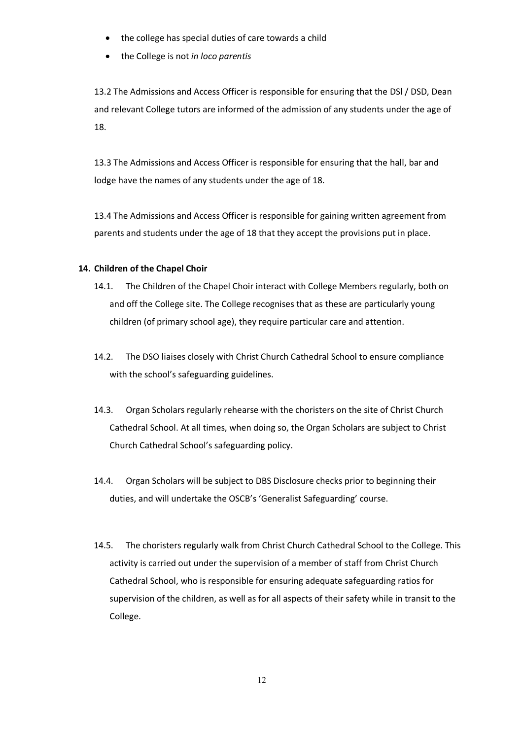- the college has special duties of care towards a child
- the College is not *in loco parentis*

13.2 The Admissions and Access Officer is responsible for ensuring that the DSl / DSD, Dean and relevant College tutors are informed of the admission of any students under the age of 18.

13.3 The Admissions and Access Officer is responsible for ensuring that the hall, bar and lodge have the names of any students under the age of 18.

13.4 The Admissions and Access Officer is responsible for gaining written agreement from parents and students under the age of 18 that they accept the provisions put in place.

### **14. Children of the Chapel Choir**

- 14.1. The Children of the Chapel Choir interact with College Members regularly, both on and off the College site. The College recognises that as these are particularly young children (of primary school age), they require particular care and attention.
- 14.2. The DSO liaises closely with Christ Church Cathedral School to ensure compliance with the school's safeguarding guidelines.
- 14.3. Organ Scholars regularly rehearse with the choristers on the site of Christ Church Cathedral School. At all times, when doing so, the Organ Scholars are subject to Christ Church Cathedral School's safeguarding policy.
- 14.4. Organ Scholars will be subject to DBS Disclosure checks prior to beginning their duties, and will undertake the OSCB's 'Generalist Safeguarding' course.
- 14.5. The choristers regularly walk from Christ Church Cathedral School to the College. This activity is carried out under the supervision of a member of staff from Christ Church Cathedral School, who is responsible for ensuring adequate safeguarding ratios for supervision of the children, as well as for all aspects of their safety while in transit to the College.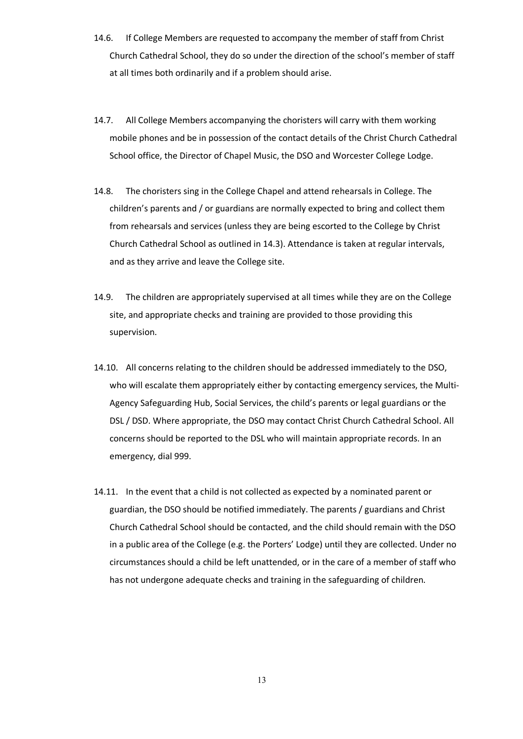- 14.6. If College Members are requested to accompany the member of staff from Christ Church Cathedral School, they do so under the direction of the school's member of staff at all times both ordinarily and if a problem should arise.
- 14.7. All College Members accompanying the choristers will carry with them working mobile phones and be in possession of the contact details of the Christ Church Cathedral School office, the Director of Chapel Music, the DSO and Worcester College Lodge.
- 14.8. The choristers sing in the College Chapel and attend rehearsals in College. The children's parents and / or guardians are normally expected to bring and collect them from rehearsals and services (unless they are being escorted to the College by Christ Church Cathedral School as outlined in 14.3). Attendance is taken at regular intervals, and as they arrive and leave the College site.
- 14.9. The children are appropriately supervised at all times while they are on the College site, and appropriate checks and training are provided to those providing this supervision.
- 14.10. All concerns relating to the children should be addressed immediately to the DSO, who will escalate them appropriately either by contacting emergency services, the Multi-Agency Safeguarding Hub, Social Services, the child's parents or legal guardians or the DSL / DSD. Where appropriate, the DSO may contact Christ Church Cathedral School. All concerns should be reported to the DSL who will maintain appropriate records. In an emergency, dial 999.
- 14.11. In the event that a child is not collected as expected by a nominated parent or guardian, the DSO should be notified immediately. The parents / guardians and Christ Church Cathedral School should be contacted, and the child should remain with the DSO in a public area of the College (e.g. the Porters' Lodge) until they are collected. Under no circumstances should a child be left unattended, or in the care of a member of staff who has not undergone adequate checks and training in the safeguarding of children.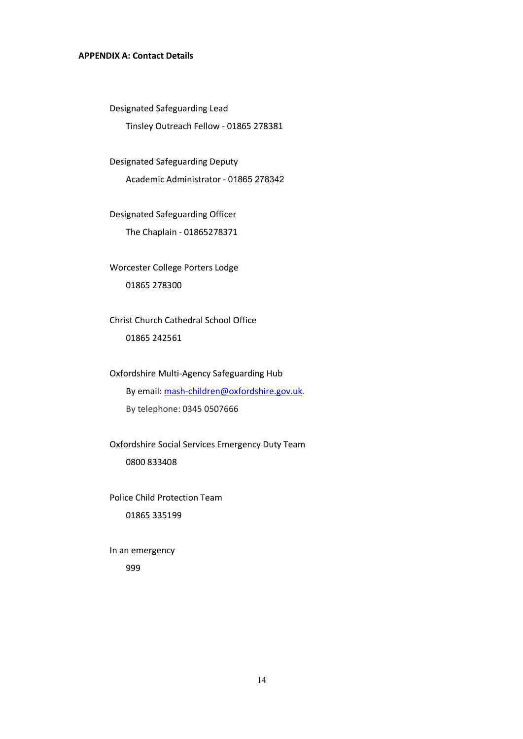### **APPENDIX A: Contact Details**

Designated Safeguarding Lead

Tinsley Outreach Fellow - 01865 278381

Designated Safeguarding Deputy

Academic Administrator - 01865 278342

Designated Safeguarding Officer The Chaplain - 01865278371

Worcester College Porters Lodge 01865 278300

Christ Church Cathedral School Office 01865 242561

Oxfordshire Multi-Agency Safeguarding Hub By email: mash-children@oxfordshire.gov.uk. By telephone: 0345 0507666

Oxfordshire Social Services Emergency Duty Team 0800 833408

Police Child Protection Team 01865 335199

In an emergency 999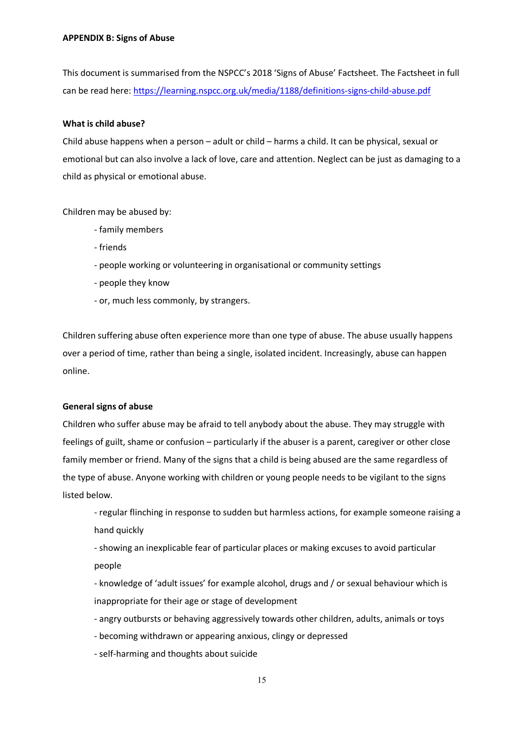This document is summarised from the NSPCC's 2018 'Signs of Abuse' Factsheet. The Factsheet in full can be read here: https://learning.nspcc.org.uk/media/1188/definitions-signs-child-abuse.pdf

#### **What is child abuse?**

Child abuse happens when a person – adult or child – harms a child. It can be physical, sexual or emotional but can also involve a lack of love, care and attention. Neglect can be just as damaging to a child as physical or emotional abuse.

Children may be abused by:

- family members
- friends
- people working or volunteering in organisational or community settings
- people they know
- or, much less commonly, by strangers.

Children suffering abuse often experience more than one type of abuse. The abuse usually happens over a period of time, rather than being a single, isolated incident. Increasingly, abuse can happen online.

#### **General signs of abuse**

Children who suffer abuse may be afraid to tell anybody about the abuse. They may struggle with feelings of guilt, shame or confusion – particularly if the abuser is a parent, caregiver or other close family member or friend. Many of the signs that a child is being abused are the same regardless of the type of abuse. Anyone working with children or young people needs to be vigilant to the signs listed below.

- regular flinching in response to sudden but harmless actions, for example someone raising a hand quickly

- showing an inexplicable fear of particular places or making excuses to avoid particular people

- knowledge of 'adult issues' for example alcohol, drugs and / or sexual behaviour which is inappropriate for their age or stage of development

- angry outbursts or behaving aggressively towards other children, adults, animals or toys

- becoming withdrawn or appearing anxious, clingy or depressed
- self-harming and thoughts about suicide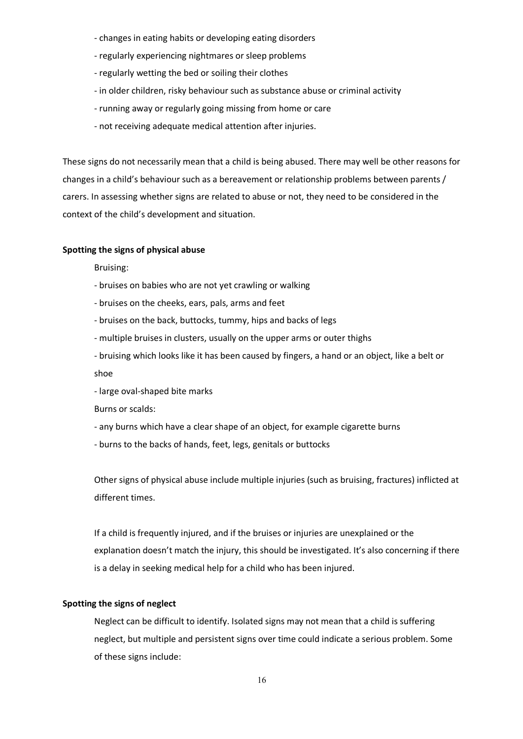- changes in eating habits or developing eating disorders
- regularly experiencing nightmares or sleep problems
- regularly wetting the bed or soiling their clothes
- in older children, risky behaviour such as substance abuse or criminal activity
- running away or regularly going missing from home or care
- not receiving adequate medical attention after injuries.

These signs do not necessarily mean that a child is being abused. There may well be other reasons for changes in a child's behaviour such as a bereavement or relationship problems between parents / carers. In assessing whether signs are related to abuse or not, they need to be considered in the context of the child's development and situation.

#### **Spotting the signs of physical abuse**

Bruising:

- bruises on babies who are not yet crawling or walking
- bruises on the cheeks, ears, pals, arms and feet
- bruises on the back, buttocks, tummy, hips and backs of legs
- multiple bruises in clusters, usually on the upper arms or outer thighs
- bruising which looks like it has been caused by fingers, a hand or an object, like a belt or shoe
- large oval-shaped bite marks

Burns or scalds:

- any burns which have a clear shape of an object, for example cigarette burns
- burns to the backs of hands, feet, legs, genitals or buttocks

Other signs of physical abuse include multiple injuries (such as bruising, fractures) inflicted at different times.

If a child is frequently injured, and if the bruises or injuries are unexplained or the explanation doesn't match the injury, this should be investigated. It's also concerning if there is a delay in seeking medical help for a child who has been injured.

### **Spotting the signs of neglect**

Neglect can be difficult to identify. Isolated signs may not mean that a child is suffering neglect, but multiple and persistent signs over time could indicate a serious problem. Some of these signs include: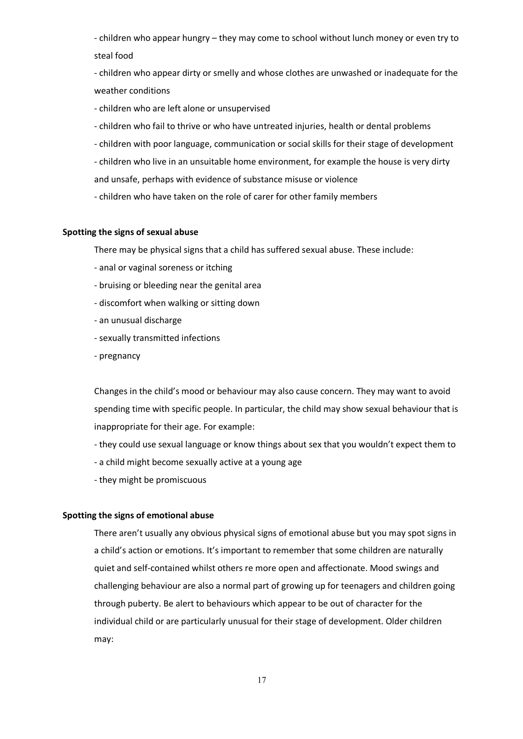- children who appear hungry – they may come to school without lunch money or even try to steal food

- children who appear dirty or smelly and whose clothes are unwashed or inadequate for the weather conditions

- children who are left alone or unsupervised

- children who fail to thrive or who have untreated injuries, health or dental problems
- children with poor language, communication or social skills for their stage of development
- children who live in an unsuitable home environment, for example the house is very dirty and unsafe, perhaps with evidence of substance misuse or violence
- children who have taken on the role of carer for other family members

### **Spotting the signs of sexual abuse**

There may be physical signs that a child has suffered sexual abuse. These include:

- anal or vaginal soreness or itching
- bruising or bleeding near the genital area
- discomfort when walking or sitting down
- an unusual discharge
- sexually transmitted infections
- pregnancy

Changes in the child's mood or behaviour may also cause concern. They may want to avoid spending time with specific people. In particular, the child may show sexual behaviour that is inappropriate for their age. For example:

- they could use sexual language or know things about sex that you wouldn't expect them to
- a child might become sexually active at a young age
- they might be promiscuous

#### **Spotting the signs of emotional abuse**

There aren't usually any obvious physical signs of emotional abuse but you may spot signs in a child's action or emotions. It's important to remember that some children are naturally quiet and self-contained whilst others re more open and affectionate. Mood swings and challenging behaviour are also a normal part of growing up for teenagers and children going through puberty. Be alert to behaviours which appear to be out of character for the individual child or are particularly unusual for their stage of development. Older children may: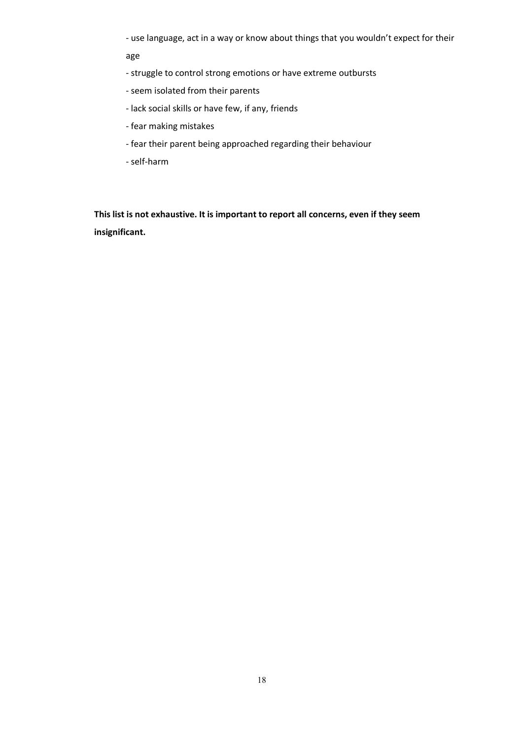- use language, act in a way or know about things that you wouldn't expect for their

age

- struggle to control strong emotions or have extreme outbursts
- seem isolated from their parents
- lack social skills or have few, if any, friends
- fear making mistakes
- fear their parent being approached regarding their behaviour
- self-harm

**This list is not exhaustive. It is important to report all concerns, even if they seem insignificant.**